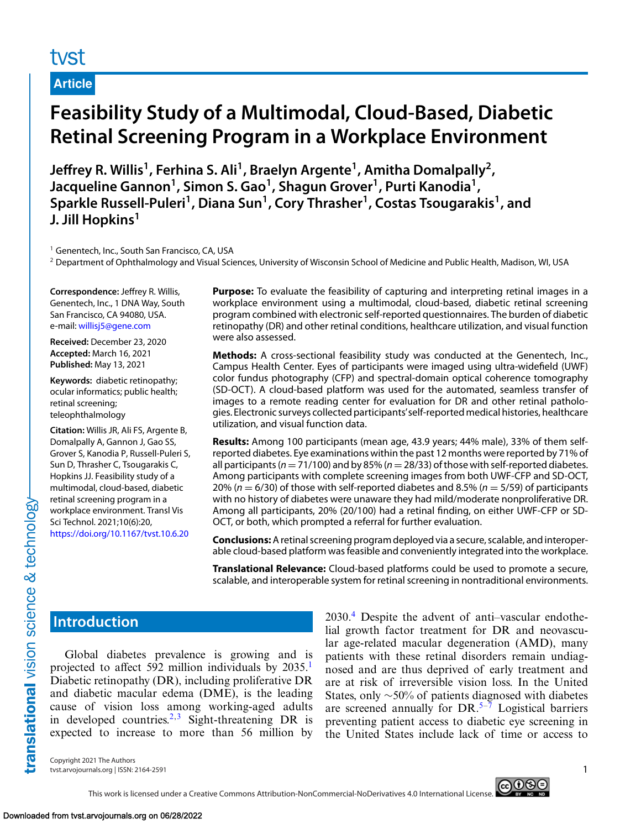# tyst

**Article**

# **Feasibility Study of a Multimodal, Cloud-Based, Diabetic Retinal Screening Program in a Workplace Environment**

**Jeffrey R. Willis1, Ferhina S. Ali1, Braelyn Argente1, Amitha Domalpally2,** Jacqueline Gannon<sup>1</sup>, Simon S. Gao<sup>1</sup>, Shagun Grover<sup>1</sup>, Purti Kanodia<sup>1</sup>, Sparkle Russell-Puleri<sup>1</sup>, Diana Sun<sup>1</sup>, Cory Thrasher<sup>1</sup>, Costas Tsougarakis<sup>1</sup>, and **J. Jill Hopkins<sup>1</sup>**

<sup>1</sup> Genentech, Inc., South San Francisco, CA, USA

<sup>2</sup> Department of Ophthalmology and Visual Sciences, University of Wisconsin School of Medicine and Public Health, Madison, WI, USA

**Correspondence:** Jeffrey R. Willis, Genentech, Inc., 1 DNA Way, South San Francisco, CA 94080, USA. e-mail: [willisj5@gene.com](mailto:willisj5@gene.com)

**Received:** December 23, 2020 **Accepted:** March 16, 2021 **Published:** May 13, 2021

**Keywords:** diabetic retinopathy; ocular informatics; public health; retinal screening; teleophthalmology

**Citation:** Willis JR, Ali FS, Argente B, Domalpally A, Gannon J, Gao SS, Grover S, Kanodia P, Russell-Puleri S, Sun D, Thrasher C, Tsougarakis C, Hopkins JJ. Feasibility study of a multimodal, cloud-based, diabetic retinal screening program in a workplace environment. Transl Vis Sci Technol. 2021;10(6):20, <https://doi.org/10.1167/tvst.10.6.20>

**Purpose:** To evaluate the feasibility of capturing and interpreting retinal images in a workplace environment using a multimodal, cloud-based, diabetic retinal screening program combined with electronic self-reported questionnaires. The burden of diabetic retinopathy (DR) and other retinal conditions, healthcare utilization, and visual function were also assessed.

**Methods:** A cross-sectional feasibility study was conducted at the Genentech, Inc., Campus Health Center. Eyes of participants were imaged using ultra-widefield (UWF) color fundus photography (CFP) and spectral-domain optical coherence tomography (SD-OCT). A cloud-based platform was used for the automated, seamless transfer of images to a remote reading center for evaluation for DR and other retinal pathologies. Electronic surveys collected participants'self-reported medical histories, healthcare utilization, and visual function data.

**Results:** Among 100 participants (mean age, 43.9 years; 44% male), 33% of them selfreported diabetes. Eye examinations within the past 12 months were reported by 71% of all participants ( $n = 71/100$ ) and by 85% ( $n = 28/33$ ) of those with self-reported diabetes. Among participants with complete screening images from both UWF-CFP and SD-OCT, 20% ( $n = 6/30$ ) of those with self-reported diabetes and 8.5% ( $n = 5/59$ ) of participants with no history of diabetes were unaware they had mild/moderate nonproliferative DR. Among all participants, 20% (20/100) had a retinal finding, on either UWF-CFP or SD-OCT, or both, which prompted a referral for further evaluation.

**Conclusions:**A retinal screening program deployed via a secure, scalable, and interoperable cloud-based platform was feasible and conveniently integrated into the workplace.

**Translational Relevance:** Cloud-based platforms could be used to promote a secure, scalable, and interoperable system for retinal screening in nontraditional environments.

# **Introduction**

Global diabetes prevalence is growing and is projected to affect 592 million individuals by 2035.<sup>[1](#page-7-0)</sup> Diabetic retinopathy (DR), including proliferative DR and diabetic macular edema (DME), is the leading cause of vision loss among working-aged adults in developed countries.<sup>2,[3](#page-8-0)</sup> Sight-threatening DR is expected to increase to more than 56 million by  $2030<sup>4</sup>$  $2030<sup>4</sup>$  $2030<sup>4</sup>$  Despite the advent of anti–vascular endothelial growth factor treatment for DR and neovascular age-related macular degeneration (AMD), many patients with these retinal disorders remain undiagnosed and are thus deprived of early treatment and are at risk of irreversible vision loss. In the United States, only ∼50% of patients diagnosed with diabetes are screened annually for  $DR_{\cdot}^{5-7}$  Logistical barriers preventing patient access to diabetic eye screening in the United States include lack of time or access to

Copyright 2021 The Authors tvst.arvojournals.org | ISSN: 2164-2591 1

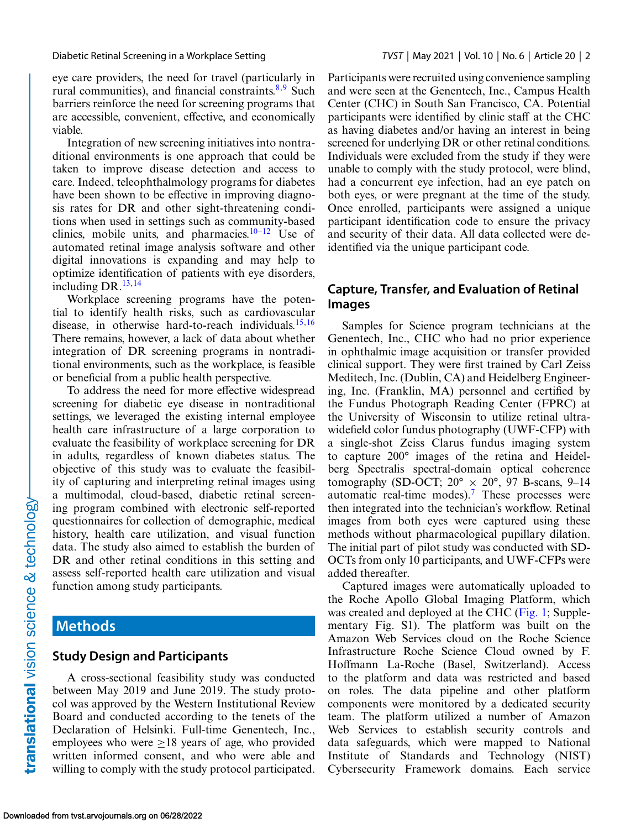#### Diabetic Retinal Screening in a Workplace Setting *TVST* | May 2021 | Vol. 10 | No. 6 | Article 20 | 2

eye care providers, the need for travel (particularly in rural communities), and financial constraints. $8,9$  Such barriers reinforce the need for screening programs that are accessible, convenient, effective, and economically viable.

Integration of new screening initiatives into nontraditional environments is one approach that could be taken to improve disease detection and access to care. Indeed, teleophthalmology programs for diabetes have been shown to be effective in improving diagnosis rates for DR and other sight-threatening conditions when used in settings such as community-based clinics, mobile units, and pharmacies. $10-12$  Use of automated retinal image analysis software and other digital innovations is expanding and may help to optimize identification of patients with eye disorders, including DR.[13,14](#page-8-0)

Workplace screening programs have the potential to identify health risks, such as cardiovascular disease, in otherwise hard-to-reach individuals. $15,16$ There remains, however, a lack of data about whether integration of DR screening programs in nontraditional environments, such as the workplace, is feasible or beneficial from a public health perspective.

To address the need for more effective widespread screening for diabetic eye disease in nontraditional settings, we leveraged the existing internal employee health care infrastructure of a large corporation to evaluate the feasibility of workplace screening for DR in adults, regardless of known diabetes status. The objective of this study was to evaluate the feasibility of capturing and interpreting retinal images using a multimodal, cloud-based, diabetic retinal screening program combined with electronic self-reported questionnaires for collection of demographic, medical history, health care utilization, and visual function data. The study also aimed to establish the burden of DR and other retinal conditions in this setting and assess self-reported health care utilization and visual function among study participants.

# **Methods**

## **Study Design and Participants**

A cross-sectional feasibility study was conducted between May 2019 and June 2019. The study protocol was approved by the Western Institutional Review Board and conducted according to the tenets of the Declaration of Helsinki. Full-time Genentech, Inc., employees who were  $\geq 18$  years of age, who provided written informed consent, and who were able and willing to comply with the study protocol participated. Participants were recruited using convenience sampling and were seen at the Genentech, Inc., Campus Health Center (CHC) in South San Francisco, CA. Potential participants were identified by clinic staff at the CHC as having diabetes and/or having an interest in being screened for underlying DR or other retinal conditions. Individuals were excluded from the study if they were unable to comply with the study protocol, were blind, had a concurrent eye infection, had an eye patch on both eyes, or were pregnant at the time of the study. Once enrolled, participants were assigned a unique participant identification code to ensure the privacy and security of their data. All data collected were deidentified via the unique participant code.

## **Capture, Transfer, and Evaluation of Retinal Images**

Samples for Science program technicians at the Genentech, Inc., CHC who had no prior experience in ophthalmic image acquisition or transfer provided clinical support. They were first trained by Carl Zeiss Meditech, Inc. (Dublin, CA) and Heidelberg Engineering, Inc. (Franklin, MA) personnel and certified by the Fundus Photograph Reading Center (FPRC) at the University of Wisconsin to utilize retinal ultrawidefield color fundus photography (UWF-CFP) with a single-shot Zeiss Clarus fundus imaging system to capture 200° images of the retina and Heidelberg Spectralis spectral-domain optical coherence tomography (SD-OCT;  $20^{\circ} \times 20^{\circ}$ , 97 B-scans, 9–14 automatic real-time modes).<sup>[7](#page-8-0)</sup> These processes were then integrated into the technician's workflow. Retinal images from both eyes were captured using these methods without pharmacological pupillary dilation. The initial part of pilot study was conducted with SD-OCTs from only 10 participants, and UWF-CFPs were added thereafter.

Captured images were automatically uploaded to the Roche Apollo Global Imaging Platform, which was created and deployed at the CHC [\(Fig. 1;](#page-2-0) Supplementary Fig. S1). The platform was built on the Amazon Web Services cloud on the Roche Science Infrastructure Roche Science Cloud owned by F. Hoffmann La-Roche (Basel, Switzerland). Access to the platform and data was restricted and based on roles. The data pipeline and other platform components were monitored by a dedicated security team. The platform utilized a number of Amazon Web Services to establish security controls and data safeguards, which were mapped to National Institute of Standards and Technology (NIST) Cybersecurity Framework domains. Each service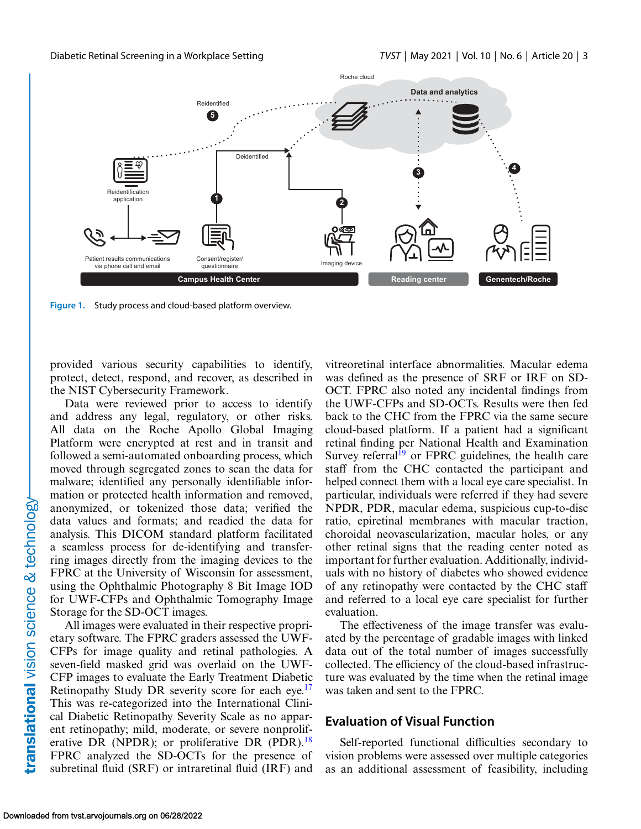<span id="page-2-0"></span>

**Figure 1.** Study process and cloud-based platform overview.

provided various security capabilities to identify, protect, detect, respond, and recover, as described in the NIST Cybersecurity Framework.

Data were reviewed prior to access to identify and address any legal, regulatory, or other risks. All data on the Roche Apollo Global Imaging Platform were encrypted at rest and in transit and followed a semi-automated onboarding process, which moved through segregated zones to scan the data for malware; identified any personally identifiable information or protected health information and removed, anonymized, or tokenized those data; verified the data values and formats; and readied the data for analysis. This DICOM standard platform facilitated a seamless process for de-identifying and transferring images directly from the imaging devices to the FPRC at the University of Wisconsin for assessment, using the Ophthalmic Photography 8 Bit Image IOD for UWF-CFPs and Ophthalmic Tomography Image Storage for the SD-OCT images.

All images were evaluated in their respective proprietary software. The FPRC graders assessed the UWF-CFPs for image quality and retinal pathologies. A seven-field masked grid was overlaid on the UWF-CFP images to evaluate the Early Treatment Diabetic Retinopathy Study DR severity score for each eye.<sup>17</sup> This was re-categorized into the International Clinical Diabetic Retinopathy Severity Scale as no apparent retinopathy; mild, moderate, or severe nonprolif-erative DR (NPDR); or proliferative DR (PDR).<sup>[18](#page-8-0)</sup> FPRC analyzed the SD-OCTs for the presence of subretinal fluid (SRF) or intraretinal fluid (IRF) and

vitreoretinal interface abnormalities. Macular edema was defined as the presence of SRF or IRF on SD-OCT. FPRC also noted any incidental findings from the UWF-CFPs and SD-OCTs. Results were then fed back to the CHC from the FPRC via the same secure cloud-based platform. If a patient had a significant retinal finding per National Health and Examination Survey referral<sup>[19](#page-8-0)</sup> or FPRC guidelines, the health care staff from the CHC contacted the participant and helped connect them with a local eye care specialist. In particular, individuals were referred if they had severe NPDR, PDR, macular edema, suspicious cup-to-disc ratio, epiretinal membranes with macular traction, choroidal neovascularization, macular holes, or any other retinal signs that the reading center noted as important for further evaluation. Additionally, individuals with no history of diabetes who showed evidence of any retinopathy were contacted by the CHC staff and referred to a local eye care specialist for further evaluation.

The effectiveness of the image transfer was evaluated by the percentage of gradable images with linked data out of the total number of images successfully collected. The efficiency of the cloud-based infrastructure was evaluated by the time when the retinal image was taken and sent to the FPRC.

#### **Evaluation of Visual Function**

Self-reported functional difficulties secondary to vision problems were assessed over multiple categories as an additional assessment of feasibility, including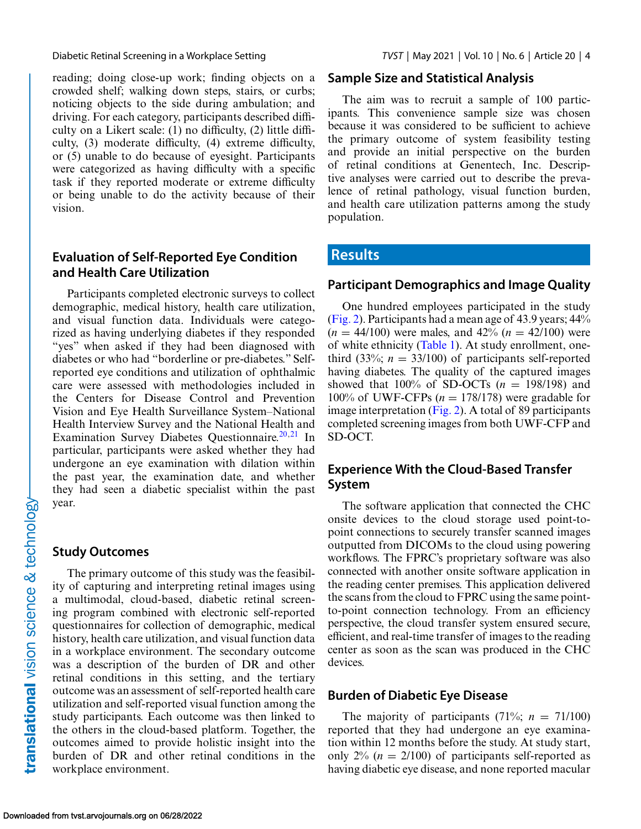reading; doing close-up work; finding objects on a crowded shelf; walking down steps, stairs, or curbs; noticing objects to the side during ambulation; and driving. For each category, participants described difficulty on a Likert scale: (1) no difficulty, (2) little difficulty, (3) moderate difficulty, (4) extreme difficulty, or (5) unable to do because of eyesight. Participants were categorized as having difficulty with a specific task if they reported moderate or extreme difficulty or being unable to do the activity because of their vision.

## **Evaluation of Self-Reported Eye Condition and Health Care Utilization**

Participants completed electronic surveys to collect demographic, medical history, health care utilization, and visual function data. Individuals were categorized as having underlying diabetes if they responded "yes" when asked if they had been diagnosed with diabetes or who had "borderline or pre-diabetes." Selfreported eye conditions and utilization of ophthalmic care were assessed with methodologies included in the Centers for Disease Control and Prevention Vision and Eye Health Surveillance System–National Health Interview Survey and the National Health and Examination Survey Diabetes Questionnaire.<sup>[20,21](#page-8-0)</sup> In particular, participants were asked whether they had undergone an eye examination with dilation within the past year, the examination date, and whether they had seen a diabetic specialist within the past year.

### **Study Outcomes**

The primary outcome of this study was the feasibility of capturing and interpreting retinal images using a multimodal, cloud-based, diabetic retinal screening program combined with electronic self-reported questionnaires for collection of demographic, medical history, health care utilization, and visual function data in a workplace environment. The secondary outcome was a description of the burden of DR and other retinal conditions in this setting, and the tertiary outcome was an assessment of self-reported health care utilization and self-reported visual function among the study participants. Each outcome was then linked to the others in the cloud-based platform. Together, the outcomes aimed to provide holistic insight into the burden of DR and other retinal conditions in the workplace environment.

## **Sample Size and Statistical Analysis**

The aim was to recruit a sample of 100 participants. This convenience sample size was chosen because it was considered to be sufficient to achieve the primary outcome of system feasibility testing and provide an initial perspective on the burden of retinal conditions at Genentech, Inc. Descriptive analyses were carried out to describe the prevalence of retinal pathology, visual function burden, and health care utilization patterns among the study population.

# **Results**

## **Participant Demographics and Image Quality**

One hundred employees participated in the study [\(Fig. 2\)](#page-4-0). Participants had a mean age of 43.9 years; 44%  $(n = 44/100)$  were males, and  $42\%$   $(n = 42/100)$  were of white ethnicity [\(Table 1\)](#page-4-0). At study enrollment, onethird (33%;  $n = 33/100$ ) of participants self-reported having diabetes. The quality of the captured images showed that  $100\%$  of SD-OCTs ( $n = 198/198$ ) and  $100\%$  of UWF-CFPs ( $n = 178/178$ ) were gradable for image interpretation [\(Fig. 2\)](#page-4-0). A total of 89 participants completed screening images from both UWF-CFP and SD-OCT.

# **Experience With the Cloud-Based Transfer System**

The software application that connected the CHC onsite devices to the cloud storage used point-topoint connections to securely transfer scanned images outputted from DICOMs to the cloud using powering workflows. The FPRC's proprietary software was also connected with another onsite software application in the reading center premises. This application delivered the scans from the cloud to FPRC using the same pointto-point connection technology. From an efficiency perspective, the cloud transfer system ensured secure, efficient, and real-time transfer of images to the reading center as soon as the scan was produced in the CHC devices.

## **Burden of Diabetic Eye Disease**

The majority of participants  $(71\%; n = 71/100)$ reported that they had undergone an eye examination within 12 months before the study. At study start, only  $2\%$  ( $n = 2/100$ ) of participants self-reported as having diabetic eye disease, and none reported macular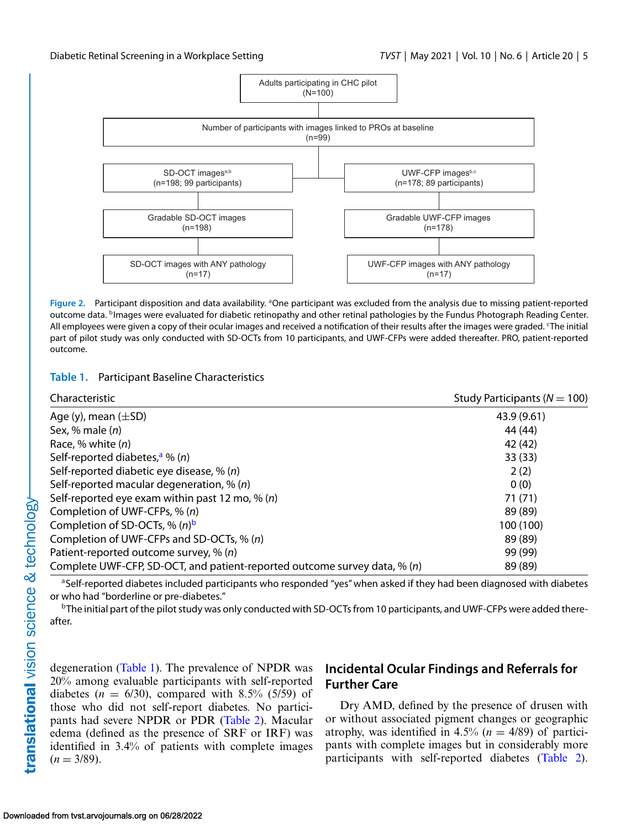<span id="page-4-0"></span>

Figure 2. Participant disposition and data availability. <sup>a</sup>One participant was excluded from the analysis due to missing patient-reported outcome data. <sup>b</sup>Images were evaluated for diabetic retinopathy and other retinal pathologies by the Fundus Photograph Reading Center. All employees were given a copy of their ocular images and received a notification of their results after the images were graded. 'The initial part of pilot study was only conducted with SD-OCTs from 10 participants, and UWF-CFPs were added thereafter. PRO, patient-reported outcome.

#### **Table 1.** Participant Baseline Characteristics

| Characteristic                                                            | Study Participants ( $N = 100$ ) |  |
|---------------------------------------------------------------------------|----------------------------------|--|
| Age (y), mean $(\pm SD)$                                                  | 43.9 (9.61)                      |  |
| Sex, % male $(n)$                                                         | 44 (44)                          |  |
| Race, % white $(n)$                                                       | 42 (42)                          |  |
| Self-reported diabetes, <sup>a</sup> % (n)                                | 33(33)                           |  |
| Self-reported diabetic eye disease, % (n)                                 | 2(2)                             |  |
| Self-reported macular degeneration, $\%$ (n)                              | 0(0)                             |  |
| Self-reported eye exam within past 12 mo, % $(n)$                         | 71(71)                           |  |
| Completion of UWF-CFPs, % (n)                                             | 89 (89)                          |  |
| Completion of SD-OCTs, % $(n)^b$                                          | 100 (100)                        |  |
| Completion of UWF-CFPs and SD-OCTs, % (n)                                 | 89 (89)                          |  |
| Patient-reported outcome survey, % (n)                                    | 99 (99)                          |  |
| Complete UWF-CFP, SD-OCT, and patient-reported outcome survey data, % (n) | 89 (89)                          |  |

aSelf-reported diabetes included participants who responded "yes" when asked if they had been diagnosed with diabetes or who had "borderline or pre-diabetes."

 $b$ The initial part of the pilot study was only conducted with SD-OCTs from 10 participants, and UWF-CFPs were added thereafter.

degeneration (Table 1). The prevalence of NPDR was 20% among evaluable participants with self-reported diabetes ( $n = 6/30$ ), compared with 8.5% (5/59) of those who did not self-report diabetes. No participants had severe NPDR or PDR [\(Table 2\)](#page-5-0). Macular edema (defined as the presence of SRF or IRF) was identified in 3.4% of patients with complete images  $(n = 3/89)$ .

# **Incidental Ocular Findings and Referrals for Further Care**

Dry AMD, defined by the presence of drusen with or without associated pigment changes or geographic atrophy, was identified in  $4.5\%$  ( $n = 4/89$ ) of participants with complete images but in considerably more participants with self-reported diabetes [\(Table 2\)](#page-5-0).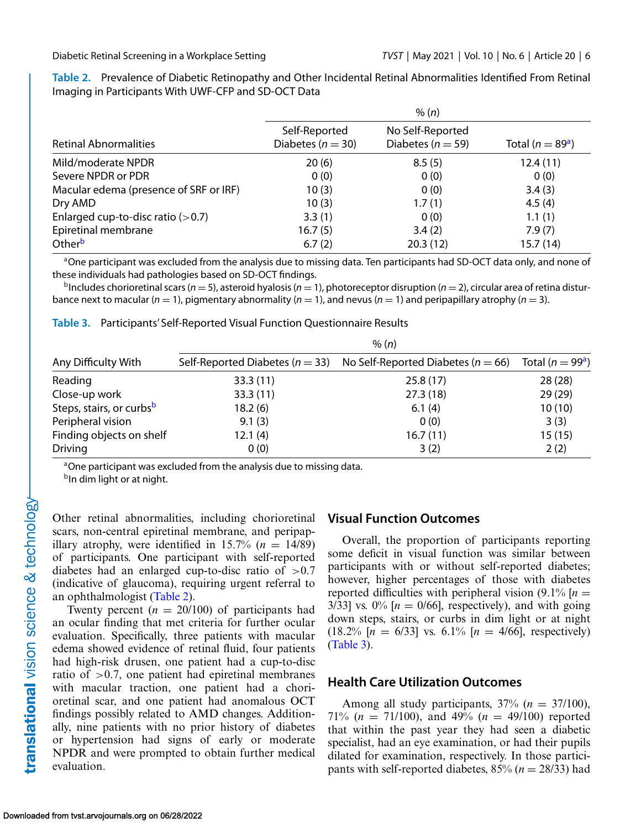| <b>Retinal Abnormalities</b>           | Self-Reported<br>Diabetes ( $n = 30$ ) | No Self-Reported<br>Diabetes ( $n = 59$ ) | Total ( $n = 89a$ ) |
|----------------------------------------|----------------------------------------|-------------------------------------------|---------------------|
| Mild/moderate NPDR                     | 20(6)                                  | 8.5(5)                                    | 12.4(11)            |
| Severe NPDR or PDR                     | 0(0)                                   | 0(0)                                      | 0(0)                |
| Macular edema (presence of SRF or IRF) | 10(3)                                  | 0(0)                                      | 3.4(3)              |
| Dry AMD                                | 10(3)                                  | 1.7(1)                                    | 4.5(4)              |
| Enlarged cup-to-disc ratio $(>0.7)$    | 3.3(1)                                 | 0(0)                                      | 1.1(1)              |
| Epiretinal membrane                    | 16.7(5)                                | 3.4(2)                                    | 7.9(7)              |
| Otherb                                 | 6.7(2)                                 | 20.3(12)                                  | 15.7(14)            |

<span id="page-5-0"></span>**Table 2.** Prevalence of Diabetic Retinopathy and Other Incidental Retinal Abnormalities Identified From Retinal Imaging in Participants With UWF-CFP and SD-OCT Data

<sup>a</sup>One participant was excluded from the analysis due to missing data. Ten participants had SD-OCT data only, and none of these individuals had pathologies based on SD-OCT findings.

 $b$ Includes chorioretinal scars ( $n = 5$ ), asteroid hyalosis ( $n = 1$ ), photoreceptor disruption ( $n = 2$ ), circular area of retina disturbance next to macular ( $n = 1$ ), pigmentary abnormality ( $n = 1$ ), and nevus ( $n = 1$ ) and peripapillary atrophy ( $n = 3$ ).

**Table 3.** Participants' Self-Reported Visual Function Questionnaire Results

|                                      | % (n)                               |                                        |                     |  |
|--------------------------------------|-------------------------------------|----------------------------------------|---------------------|--|
| Any Difficulty With                  | Self-Reported Diabetes ( $n = 33$ ) | No Self-Reported Diabetes ( $n = 66$ ) | Total ( $n = 99a$ ) |  |
| Reading                              | 33.3(11)                            | 25.8(17)                               | 28(28)              |  |
| Close-up work                        | 33.3(11)                            | 27.3(18)                               | 29(29)              |  |
| Steps, stairs, or curbs <sup>b</sup> | 18.2(6)                             | 6.1(4)                                 | 10(10)              |  |
| Peripheral vision                    | 9.1(3)                              | 0(0)                                   | 3(3)                |  |
| Finding objects on shelf             | 12.1(4)                             | 16.7(11)                               | 15(15)              |  |
| <b>Driving</b>                       | 0(0)                                | 3(2)                                   | 2(2)                |  |

<sup>a</sup>One participant was excluded from the analysis due to missing data.

b<sub>In dim light or at night.</sub>

Other retinal abnormalities, including chorioretinal scars, non-central epiretinal membrane, and peripapillary atrophy, were identified in  $15.7\%$  ( $n = 14/89$ ) of participants. One participant with self-reported diabetes had an enlarged cup-to-disc ratio of  $>0.7$ (indicative of glaucoma), requiring urgent referral to an ophthalmologist (Table 2).

Twenty percent  $(n = 20/100)$  of participants had an ocular finding that met criteria for further ocular evaluation. Specifically, three patients with macular edema showed evidence of retinal fluid, four patients had high-risk drusen, one patient had a cup-to-disc ratio of  $>0.7$ , one patient had epiretinal membranes with macular traction, one patient had a chorioretinal scar, and one patient had anomalous OCT findings possibly related to AMD changes. Additionally, nine patients with no prior history of diabetes or hypertension had signs of early or moderate NPDR and were prompted to obtain further medical evaluation.

### **Visual Function Outcomes**

Overall, the proportion of participants reporting some deficit in visual function was similar between participants with or without self-reported diabetes; however, higher percentages of those with diabetes reported difficulties with peripheral vision  $(9.1\%$  [ $n =$ 3/33] vs.  $0\%$  [ $n = 0/66$ ], respectively), and with going down steps, stairs, or curbs in dim light or at night  $(18.2\%$  [*n* = 6/33] vs. 6.1\% [*n* = 4/66], respectively) (Table 3).

### **Health Care Utilization Outcomes**

Among all study participants,  $37\%$  ( $n = 37/100$ ), 71% (*n* = 71/100), and 49% (*n* = 49/100) reported that within the past year they had seen a diabetic specialist, had an eye examination, or had their pupils dilated for examination, respectively. In those participants with self-reported diabetes,  $85\%$  ( $n = 28/33$ ) had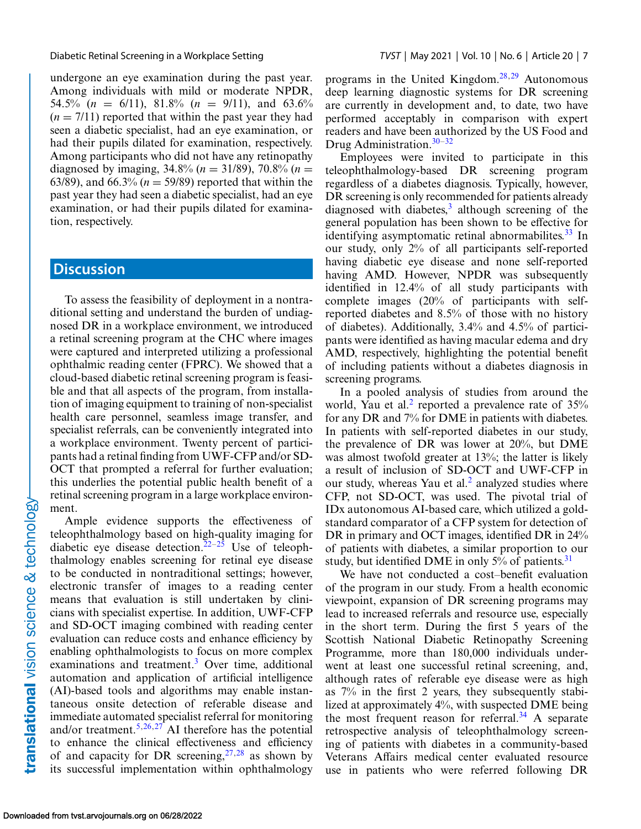undergone an eye examination during the past year. Among individuals with mild or moderate NPDR, 54.5% ( $n = 6/11$ ), 81.8% ( $n = 9/11$ ), and 63.6%  $(n = 7/11)$  reported that within the past year they had seen a diabetic specialist, had an eye examination, or had their pupils dilated for examination, respectively. Among participants who did not have any retinopathy diagnosed by imaging,  $34.8\%$  ( $n = 31/89$ ),  $70.8\%$  ( $n =$ 63/89), and 66.3%  $(n = 59/89)$  reported that within the past year they had seen a diabetic specialist, had an eye examination, or had their pupils dilated for examination, respectively.

# **Discussion**

To assess the feasibility of deployment in a nontraditional setting and understand the burden of undiagnosed DR in a workplace environment, we introduced a retinal screening program at the CHC where images were captured and interpreted utilizing a professional ophthalmic reading center (FPRC). We showed that a cloud-based diabetic retinal screening program is feasible and that all aspects of the program, from installation of imaging equipment to training of non-specialist health care personnel, seamless image transfer, and specialist referrals, can be conveniently integrated into a workplace environment. Twenty percent of participants had a retinal finding from UWF-CFP and/or SD-OCT that prompted a referral for further evaluation; this underlies the potential public health benefit of a retinal screening program in a large workplace environment.

Ample evidence supports the effectiveness of teleophthalmology based on high-quality imaging for diabetic eye disease detection.<sup>22–25</sup> Use of teleophthalmology enables screening for retinal eye disease to be conducted in nontraditional settings; however, electronic transfer of images to a reading center means that evaluation is still undertaken by clinicians with specialist expertise. In addition, UWF-CFP and SD-OCT imaging combined with reading center evaluation can reduce costs and enhance efficiency by enabling ophthalmologists to focus on more complex examinations and treatment.<sup>[3](#page-8-0)</sup> Over time, additional automation and application of artificial intelligence (AI)-based tools and algorithms may enable instantaneous onsite detection of referable disease and immediate automated specialist referral for monitoring and/or treatment.<sup>[5,26,27](#page-8-0)</sup> AI therefore has the potential to enhance the clinical effectiveness and efficiency of and capacity for DR screening,  $27.28$  $27.28$  as shown by its successful implementation within ophthalmology

programs in the United Kingdom. $28,29$  Autonomous deep learning diagnostic systems for DR screening are currently in development and, to date, two have performed acceptably in comparison with expert readers and have been authorized by the US Food and Drug Administration. $30-32$ 

Employees were invited to participate in this teleophthalmology-based DR screening program regardless of a diabetes diagnosis. Typically, however, DR screening is only recommended for patients already diagnosed with diabetes, $3$  although screening of the general population has been shown to be effective for identifying asymptomatic retinal abnormabilites.<sup>33</sup> In our study, only 2% of all participants self-reported having diabetic eye disease and none self-reported having AMD. However, NPDR was subsequently identified in 12.4% of all study participants with complete images (20% of participants with selfreported diabetes and 8.5% of those with no history of diabetes). Additionally, 3.4% and 4.5% of participants were identified as having macular edema and dry AMD, respectively, highlighting the potential benefit of including patients without a diabetes diagnosis in screening programs.

In a pooled analysis of studies from around the world, Yau et al.<sup>[2](#page-7-0)</sup> reported a prevalence rate of  $35\%$ for any DR and 7% for DME in patients with diabetes. In patients with self-reported diabetes in our study, the prevalence of DR was lower at 20%, but DME was almost twofold greater at 13%; the latter is likely a result of inclusion of SD-OCT and UWF-CFP in our study, whereas Yau et al. $<sup>2</sup>$  $<sup>2</sup>$  $<sup>2</sup>$  analyzed studies where</sup> CFP, not SD-OCT, was used. The pivotal trial of IDx autonomous AI-based care, which utilized a goldstandard comparator of a CFP system for detection of DR in primary and OCT images, identified DR in 24% of patients with diabetes, a similar proportion to our study, but identified DME in only  $5\%$  of patients.<sup>[31](#page-9-0)</sup>

We have not conducted a cost–benefit evaluation of the program in our study. From a health economic viewpoint, expansion of DR screening programs may lead to increased referrals and resource use, especially in the short term. During the first 5 years of the Scottish National Diabetic Retinopathy Screening Programme, more than 180,000 individuals underwent at least one successful retinal screening, and, although rates of referable eye disease were as high as 7% in the first 2 years, they subsequently stabilized at approximately 4%, with suspected DME being the most frequent reason for referral.<sup>[34](#page-9-0)</sup> A separate retrospective analysis of teleophthalmology screening of patients with diabetes in a community-based Veterans Affairs medical center evaluated resource use in patients who were referred following DR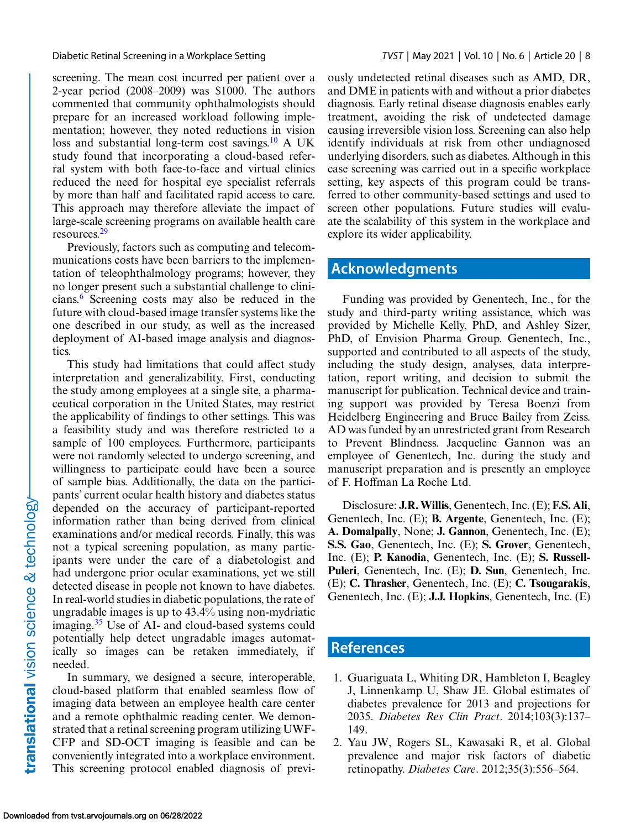#### <span id="page-7-0"></span>Diabetic Retinal Screening in a Workplace Setting *TVST* | May 2021 | Vol. 10 | No. 6 | Article 20 | 8

screening. The mean cost incurred per patient over a 2-year period (2008–2009) was \$1000. The authors commented that community ophthalmologists should prepare for an increased workload following implementation; however, they noted reductions in vision loss and substantial long-term cost savings.<sup>10</sup> A UK study found that incorporating a cloud-based referral system with both face-to-face and virtual clinics reduced the need for hospital eye specialist referrals by more than half and facilitated rapid access to care. This approach may therefore alleviate the impact of large-scale screening programs on available health care resources[.29](#page-9-0)

Previously, factors such as computing and telecommunications costs have been barriers to the implementation of teleophthalmology programs; however, they no longer present such a substantial challenge to clinicians.[6](#page-8-0) Screening costs may also be reduced in the future with cloud-based image transfer systems like the one described in our study, as well as the increased deployment of AI-based image analysis and diagnostics.

This study had limitations that could affect study interpretation and generalizability. First, conducting the study among employees at a single site, a pharmaceutical corporation in the United States, may restrict the applicability of findings to other settings. This was a feasibility study and was therefore restricted to a sample of 100 employees. Furthermore, participants were not randomly selected to undergo screening, and willingness to participate could have been a source of sample bias. Additionally, the data on the participants' current ocular health history and diabetes status depended on the accuracy of participant-reported information rather than being derived from clinical examinations and/or medical records. Finally, this was not a typical screening population, as many participants were under the care of a diabetologist and had undergone prior ocular examinations, yet we still detected disease in people not known to have diabetes. In real-world studies in diabetic populations, the rate of ungradable images is up to 43.4% using non-mydriatic imaging.<sup>35</sup> Use of AI- and cloud-based systems could potentially help detect ungradable images automatically so images can be retaken immediately, if needed.

In summary, we designed a secure, interoperable, cloud-based platform that enabled seamless flow of imaging data between an employee health care center and a remote ophthalmic reading center. We demonstrated that a retinal screening program utilizing UWF-CFP and SD-OCT imaging is feasible and can be conveniently integrated into a workplace environment. This screening protocol enabled diagnosis of previously undetected retinal diseases such as AMD, DR, and DME in patients with and without a prior diabetes diagnosis. Early retinal disease diagnosis enables early treatment, avoiding the risk of undetected damage causing irreversible vision loss. Screening can also help identify individuals at risk from other undiagnosed underlying disorders, such as diabetes. Although in this case screening was carried out in a specific workplace setting, key aspects of this program could be transferred to other community-based settings and used to screen other populations. Future studies will evaluate the scalability of this system in the workplace and explore its wider applicability.

# **Acknowledgments**

Funding was provided by Genentech, Inc., for the study and third-party writing assistance, which was provided by Michelle Kelly, PhD, and Ashley Sizer, PhD, of Envision Pharma Group. Genentech, Inc., supported and contributed to all aspects of the study, including the study design, analyses, data interpretation, report writing, and decision to submit the manuscript for publication. Technical device and training support was provided by Teresa Boenzi from Heidelberg Engineering and Bruce Bailey from Zeiss. AD was funded by an unrestricted grant from Research to Prevent Blindness. Jacqueline Gannon was an employee of Genentech, Inc. during the study and manuscript preparation and is presently an employee of F. Hoffman La Roche Ltd.

Disclosure: **J.R. Willis**, Genentech, Inc. (E); **F.S. Ali**, Genentech, Inc. (E); **B. Argente**, Genentech, Inc. (E); **A. Domalpally**, None; **J. Gannon**, Genentech, Inc. (E); **S.S. Gao**, Genentech, Inc. (E); **S. Grover**, Genentech, Inc. (E); **P. Kanodia**, Genentech, Inc. (E); **S. Russell-Puleri**, Genentech, Inc. (E); **D. Sun**, Genentech, Inc. (E); **C. Thrasher**, Genentech, Inc. (E); **C. Tsougarakis**, Genentech, Inc. (E); **J.J. Hopkins**, Genentech, Inc. (E)

# **References**

- 1. Guariguata L, Whiting DR, Hambleton I, Beagley J, Linnenkamp U, Shaw JE. Global estimates of diabetes prevalence for 2013 and projections for 2035. *Diabetes Res Clin Pract*. 2014;103(3):137– 149.
- 2. Yau JW, Rogers SL, Kawasaki R, et al. Global prevalence and major risk factors of diabetic retinopathy. *Diabetes Care*. 2012;35(3):556–564.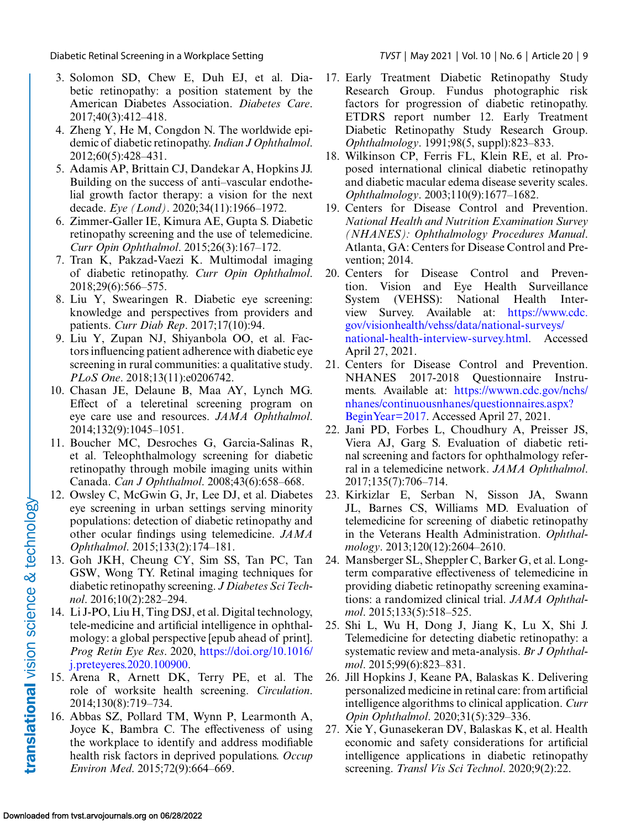- <span id="page-8-0"></span>3. Solomon SD, Chew E, Duh EJ, et al. Diabetic retinopathy: a position statement by the American Diabetes Association. *Diabetes Care*. 2017;40(3):412–418.
- 4. Zheng Y, He M, Congdon N. The worldwide epidemic of diabetic retinopathy.*Indian J Ophthalmol*. 2012;60(5):428–431.
- 5. Adamis AP, Brittain CJ, Dandekar A, Hopkins JJ. Building on the success of anti–vascular endothelial growth factor therapy: a vision for the next decade. *Eye (Lond)*. 2020;34(11):1966–1972.
- 6. Zimmer-Galler IE, Kimura AE, Gupta S. Diabetic retinopathy screening and the use of telemedicine. *Curr Opin Ophthalmol*. 2015;26(3):167–172.
- 7. Tran K, Pakzad-Vaezi K. Multimodal imaging of diabetic retinopathy. *Curr Opin Ophthalmol*. 2018;29(6):566–575.
- 8. Liu Y, Swearingen R. Diabetic eye screening: knowledge and perspectives from providers and patients. *Curr Diab Rep*. 2017;17(10):94.
- 9. Liu Y, Zupan NJ, Shiyanbola OO, et al. Factors influencing patient adherence with diabetic eye screening in rural communities: a qualitative study. *PLoS One*. 2018;13(11):e0206742.
- 10. Chasan JE, Delaune B, Maa AY, Lynch MG. Effect of a teleretinal screening program on eye care use and resources. *JAMA Ophthalmol*. 2014;132(9):1045–1051.
- 11. Boucher MC, Desroches G, Garcia-Salinas R, et al. Teleophthalmology screening for diabetic retinopathy through mobile imaging units within Canada. *Can J Ophthalmol*. 2008;43(6):658–668.
- 12. Owsley C, McGwin G, Jr, Lee DJ, et al. Diabetes eye screening in urban settings serving minority populations: detection of diabetic retinopathy and other ocular findings using telemedicine. *JAMA Ophthalmol*. 2015;133(2):174–181.
- 13. Goh JKH, Cheung CY, Sim SS, Tan PC, Tan GSW, Wong TY. Retinal imaging techniques for diabetic retinopathy screening. *J Diabetes Sci Technol*. 2016;10(2):282–294.
- 14. Li J-PO, Liu H, Ting DSJ, et al. Digital technology, tele-medicine and artificial intelligence in ophthalmology: a global perspective [epub ahead of print]. *Prog Retin Eye Res*. 2020, https://doi.org/10.1016/ [j.preteyeres.2020.100900.](https://doi.org/10.1016/j.preteyeres.2020.100900)
- 15. Arena R, Arnett DK, Terry PE, et al. The role of worksite health screening. *Circulation*. 2014;130(8):719–734.
- 16. Abbas SZ, Pollard TM, Wynn P, Learmonth A, Joyce K, Bambra C. The effectiveness of using the workplace to identify and address modifiable health risk factors in deprived populations. *Occup Environ Med*. 2015;72(9):664–669.
- 
- 17. Early Treatment Diabetic Retinopathy Study Research Group. Fundus photographic risk factors for progression of diabetic retinopathy. ETDRS report number 12. Early Treatment Diabetic Retinopathy Study Research Group. *Ophthalmology*. 1991;98(5, suppl):823–833.
- 18. Wilkinson CP, Ferris FL, Klein RE, et al. Proposed international clinical diabetic retinopathy and diabetic macular edema disease severity scales. *Ophthalmology*. 2003;110(9):1677–1682.
- 19. Centers for Disease Control and Prevention. *National Health and Nutrition Examination Survey (NHANES): Ophthalmology Procedures Manual*. Atlanta, GA: Centers for Disease Control and Prevention; 2014.
- 20. Centers for Disease Control and Prevention. Vision and Eye Health Surveillance System (VEHSS): National Health Interview Survey. Available at: https://www.cdc. gov/visionhealth/vehss/data/national-surveys/ [national-health-interview-survey.html. Accessed](https://www.cdc.gov/visionhealth/vehss/data/national-surveys/national-health-interview-survey.html) April 27, 2021.
- 21. Centers for Disease Control and Prevention. NHANES 2017-2018 Questionnaire Instruments. Available at: https://wwwn.cdc.gov/nchs/ [nhanes/continuousnhanes/questionnaires.aspx?](https://wwwn.cdc.gov/nchs/nhanes/continuousnhanes/questionnaires.aspx?BeginYear102017) BeginYear=2017. Accessed April 27, 2021.
- 22. Jani PD, Forbes L, Choudhury A, Preisser JS, Viera AJ, Garg S. Evaluation of diabetic retinal screening and factors for ophthalmology referral in a telemedicine network. *JAMA Ophthalmol*. 2017;135(7):706–714.
- 23. Kirkizlar E, Serban N, Sisson JA, Swann JL, Barnes CS, Williams MD. Evaluation of telemedicine for screening of diabetic retinopathy in the Veterans Health Administration. *Ophthalmology*. 2013;120(12):2604–2610.
- 24. Mansberger SL, Sheppler C, Barker G, et al. Longterm comparative effectiveness of telemedicine in providing diabetic retinopathy screening examinations: a randomized clinical trial. *JAMA Ophthalmol*. 2015;133(5):518–525.
- 25. Shi L, Wu H, Dong J, Jiang K, Lu X, Shi J. Telemedicine for detecting diabetic retinopathy: a systematic review and meta-analysis. *Br J Ophthalmol*. 2015;99(6):823–831.
- 26. Jill Hopkins J, Keane PA, Balaskas K. Delivering personalized medicine in retinal care: from artificial intelligence algorithms to clinical application. *Curr Opin Ophthalmol*. 2020;31(5):329–336.
- 27. Xie Y, Gunasekeran DV, Balaskas K, et al. Health economic and safety considerations for artificial intelligence applications in diabetic retinopathy screening. *Transl Vis Sci Technol*. 2020;9(2):22.